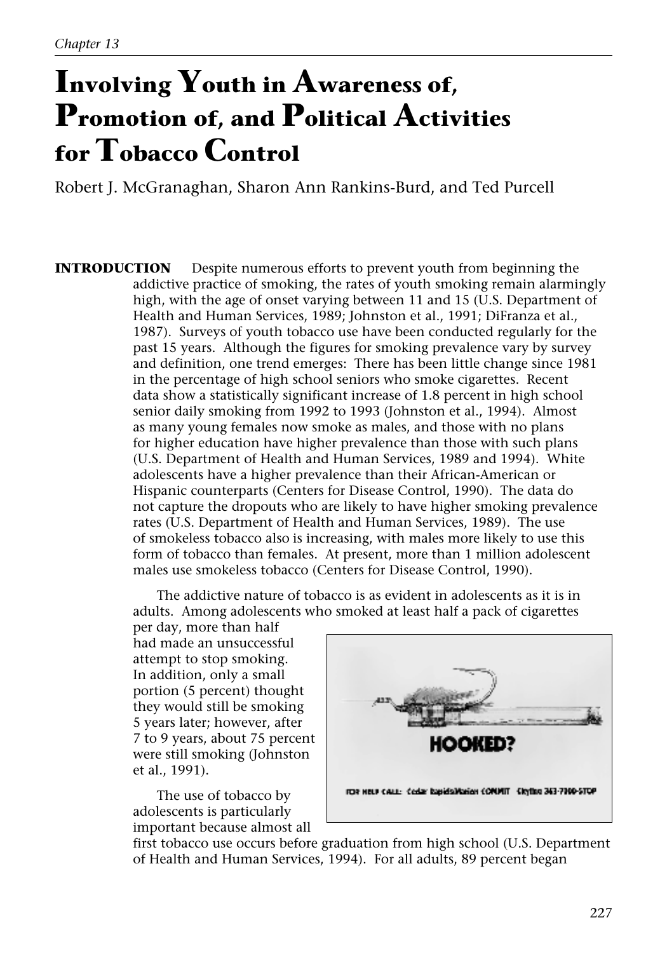# **Involving Youth in Awareness of, Promotion of, and Political Activities for Tobacco Control**

Robert J. McGranaghan, Sharon Ann Rankins-Burd, and Ted Purcell

**INTRODUCTION** Despite numerous efforts to prevent youth from beginning the addictive practice of smoking, the rates of youth smoking remain alarmingly high, with the age of onset varying between 11 and 15 (U.S. Department of Health and Human Services, 1989; Johnston et al., 1991; DiFranza et al., 1987). Surveys of youth tobacco use have been conducted regularly for the past 15 years. Although the figures for smoking prevalence vary by survey and definition, one trend emerges: There has been little change since 1981 in the percentage of high school seniors who smoke cigarettes. Recent data show a statistically significant increase of 1.8 percent in high school senior daily smoking from 1992 to 1993 (Johnston et al., 1994). Almost as many young females now smoke as males, and those with no plans for higher education have higher prevalence than those with such plans (U.S. Department of Health and Human Services, 1989 and 1994). White adolescents have a higher prevalence than their African-American or Hispanic counterparts (Centers for Disease Control, 1990). The data do not capture the dropouts who are likely to have higher smoking prevalence rates (U.S. Department of Health and Human Services, 1989). The use of smokeless tobacco also is increasing, with males more likely to use this form of tobacco than females. At present, more than 1 million adolescent males use smokeless tobacco (Centers for Disease Control, 1990).

> The addictive nature of tobacco is as evident in adolescents as it is in adults. Among adolescents who smoked at least half a pack of cigarettes

per day, more than half had made an unsuccessful attempt to stop smoking. In addition, only a small portion (5 percent) thought they would still be smoking 5 years later; however, after 7 to 9 years, about 75 percent were still smoking (Johnston et al., 1991).

The use of tobacco by adolescents is particularly important because almost all



first tobacco use occurs before graduation from high school (U.S. Department of Health and Human Services, 1994). For all adults, 89 percent began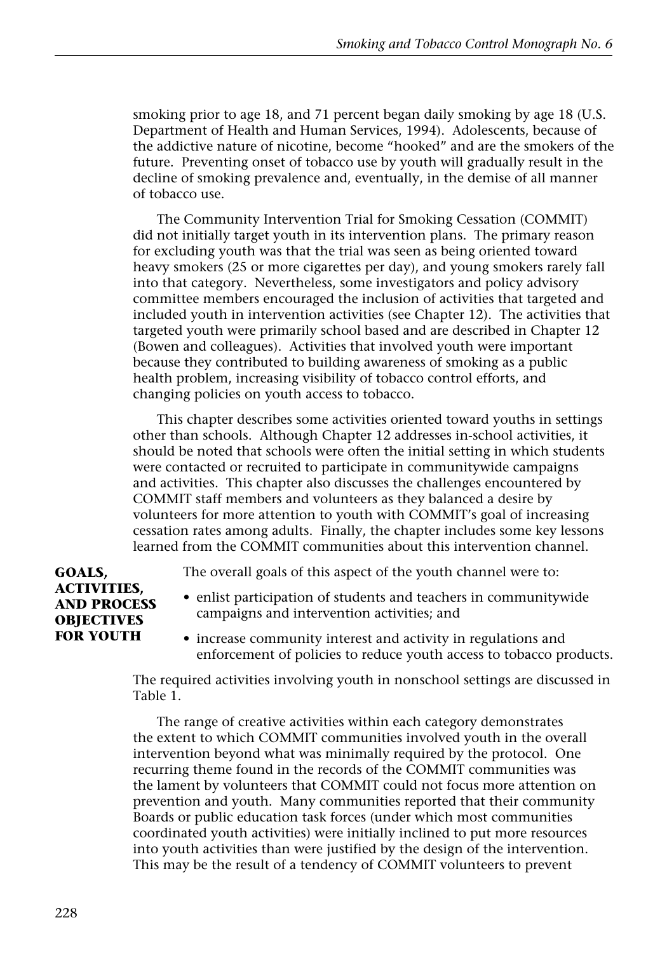smoking prior to age 18, and 71 percent began daily smoking by age 18 (U.S. Department of Health and Human Services, 1994). Adolescents, because of the addictive nature of nicotine, become "hooked" and are the smokers of the future. Preventing onset of tobacco use by youth will gradually result in the decline of smoking prevalence and, eventually, in the demise of all manner of tobacco use.

The Community Intervention Trial for Smoking Cessation (COMMIT) did not initially target youth in its intervention plans. The primary reason for excluding youth was that the trial was seen as being oriented toward heavy smokers (25 or more cigarettes per day), and young smokers rarely fall into that category. Nevertheless, some investigators and policy advisory committee members encouraged the inclusion of activities that targeted and included youth in intervention activities (see Chapter 12). The activities that targeted youth were primarily school based and are described in Chapter 12 (Bowen and colleagues). Activities that involved youth were important because they contributed to building awareness of smoking as a public health problem, increasing visibility of tobacco control efforts, and changing policies on youth access to tobacco.

This chapter describes some activities oriented toward youths in settings other than schools. Although Chapter 12 addresses in-school activities, it should be noted that schools were often the initial setting in which students were contacted or recruited to participate in communitywide campaigns and activities. This chapter also discusses the challenges encountered by COMMIT staff members and volunteers as they balanced a desire by volunteers for more attention to youth with COMMIT's goal of increasing cessation rates among adults. Finally, the chapter includes some key lessons learned from the COMMIT communities about this intervention channel.

The overall goals of this aspect of the youth channel were to:

- **GOALS, ACTIVITIES, AND PROCESS OBJECTIVES FOR YOUTH**
- enlist participation of students and teachers in communitywide campaigns and intervention activities; and
- increase community interest and activity in regulations and enforcement of policies to reduce youth access to tobacco products.

The required activities involving youth in nonschool settings are discussed in Table 1.

The range of creative activities within each category demonstrates the extent to which COMMIT communities involved youth in the overall intervention beyond what was minimally required by the protocol. One recurring theme found in the records of the COMMIT communities was the lament by volunteers that COMMIT could not focus more attention on prevention and youth. Many communities reported that their community Boards or public education task forces (under which most communities coordinated youth activities) were initially inclined to put more resources into youth activities than were justified by the design of the intervention. This may be the result of a tendency of COMMIT volunteers to prevent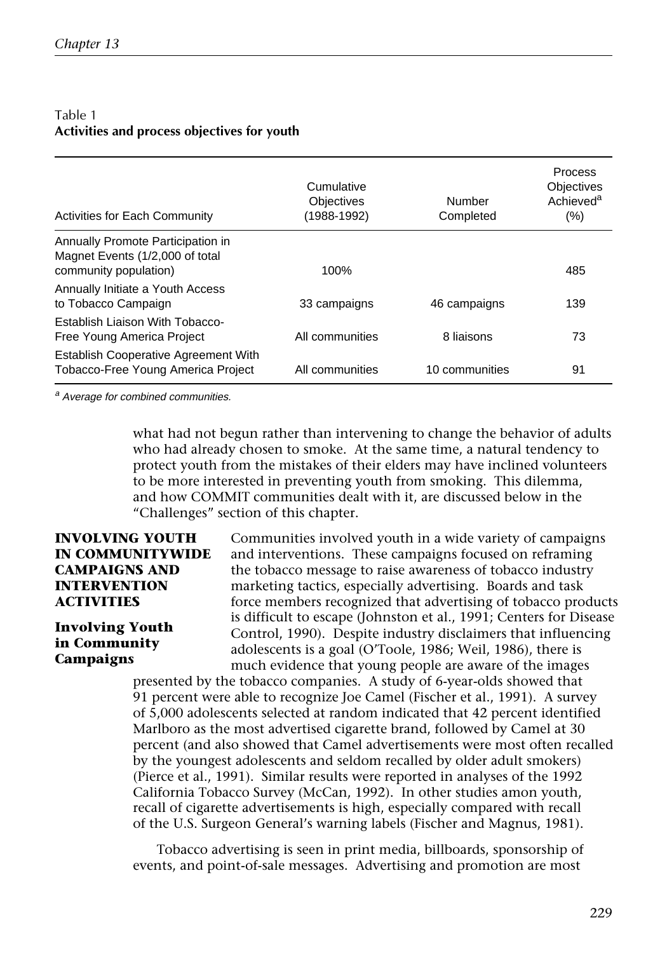### Table 1 **Activities and process objectives for youth**

| <b>Activities for Each Community</b>                                                          | Cumulative<br><b>Objectives</b><br>(1988-1992) | Number<br>Completed | Process<br>Objectives<br>Achieved <sup>a</sup><br>$(\% )$ |
|-----------------------------------------------------------------------------------------------|------------------------------------------------|---------------------|-----------------------------------------------------------|
| Annually Promote Participation in<br>Magnet Events (1/2,000 of total<br>community population) | 100%                                           |                     | 485                                                       |
| Annually Initiate a Youth Access<br>to Tobacco Campaign                                       | 33 campaigns                                   | 46 campaigns        | 139                                                       |
| Establish Liaison With Tobacco-<br>Free Young America Project                                 | All communities                                | 8 liaisons          | 73                                                        |
| <b>Establish Cooperative Agreement With</b><br>Tobacco-Free Young America Project             | All communities                                | 10 communities      | 91                                                        |

<sup>a</sup> Average for combined communities.

what had not begun rather than intervening to change the behavior of adults who had already chosen to smoke. At the same time, a natural tendency to protect youth from the mistakes of their elders may have inclined volunteers to be more interested in preventing youth from smoking. This dilemma, and how COMMIT communities dealt with it, are discussed below in the "Challenges" section of this chapter.

### **INVOLVING YOUTH IN COMMUNITYWIDE CAMPAIGNS AND INTERVENTION ACTIVITIES**

**Involving Youth in Community Campaigns**

Communities involved youth in a wide variety of campaigns and interventions. These campaigns focused on reframing the tobacco message to raise awareness of tobacco industry marketing tactics, especially advertising. Boards and task force members recognized that advertising of tobacco products is difficult to escape (Johnston et al., 1991; Centers for Disease Control, 1990). Despite industry disclaimers that influencing adolescents is a goal (O'Toole, 1986; Weil, 1986), there is much evidence that young people are aware of the images

presented by the tobacco companies. A study of 6-year-olds showed that 91 percent were able to recognize Joe Camel (Fischer et al., 1991). A survey of 5,000 adolescents selected at random indicated that 42 percent identified Marlboro as the most advertised cigarette brand, followed by Camel at 30 percent (and also showed that Camel advertisements were most often recalled by the youngest adolescents and seldom recalled by older adult smokers) (Pierce et al., 1991). Similar results were reported in analyses of the 1992 California Tobacco Survey (McCan, 1992). In other studies amon youth, recall of cigarette advertisements is high, especially compared with recall of the U.S. Surgeon General's warning labels (Fischer and Magnus, 1981).

Tobacco advertising is seen in print media, billboards, sponsorship of events, and point-of-sale messages. Advertising and promotion are most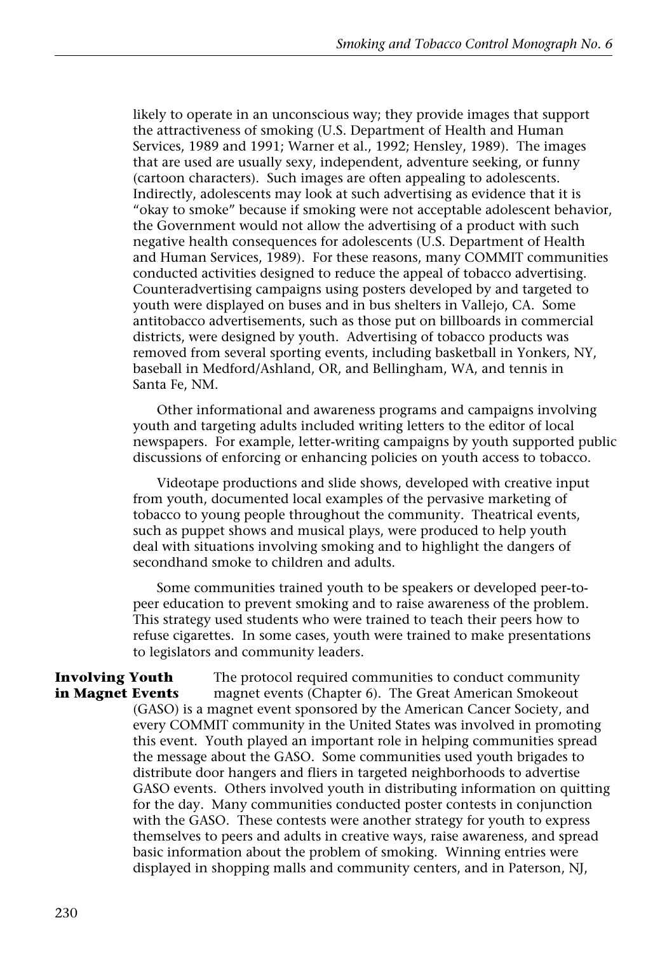likely to operate in an unconscious way; they provide images that support the attractiveness of smoking (U.S. Department of Health and Human Services, 1989 and 1991; Warner et al., 1992; Hensley, 1989). The images that are used are usually sexy, independent, adventure seeking, or funny (cartoon characters). Such images are often appealing to adolescents. Indirectly, adolescents may look at such advertising as evidence that it is "okay to smoke" because if smoking were not acceptable adolescent behavior, the Government would not allow the advertising of a product with such negative health consequences for adolescents (U.S. Department of Health and Human Services, 1989). For these reasons, many COMMIT communities conducted activities designed to reduce the appeal of tobacco advertising. Counteradvertising campaigns using posters developed by and targeted to youth were displayed on buses and in bus shelters in Vallejo, CA. Some antitobacco advertisements, such as those put on billboards in commercial districts, were designed by youth. Advertising of tobacco products was removed from several sporting events, including basketball in Yonkers, NY, baseball in Medford/Ashland, OR, and Bellingham, WA, and tennis in Santa Fe, NM.

Other informational and awareness programs and campaigns involving youth and targeting adults included writing letters to the editor of local newspapers. For example, letter-writing campaigns by youth supported public discussions of enforcing or enhancing policies on youth access to tobacco.

Videotape productions and slide shows, developed with creative input from youth, documented local examples of the pervasive marketing of tobacco to young people throughout the community. Theatrical events, such as puppet shows and musical plays, were produced to help youth deal with situations involving smoking and to highlight the dangers of secondhand smoke to children and adults.

Some communities trained youth to be speakers or developed peer-topeer education to prevent smoking and to raise awareness of the problem. This strategy used students who were trained to teach their peers how to refuse cigarettes. In some cases, youth were trained to make presentations to legislators and community leaders.

**Involving Youth** The protocol required communities to conduct community **in Magnet Events** magnet events (Chapter 6). The Great American Smokeout (GASO) is a magnet event sponsored by the American Cancer Society, and every COMMIT community in the United States was involved in promoting this event. Youth played an important role in helping communities spread the message about the GASO. Some communities used youth brigades to distribute door hangers and fliers in targeted neighborhoods to advertise GASO events. Others involved youth in distributing information on quitting for the day. Many communities conducted poster contests in conjunction with the GASO. These contests were another strategy for youth to express themselves to peers and adults in creative ways, raise awareness, and spread basic information about the problem of smoking. Winning entries were displayed in shopping malls and community centers, and in Paterson, NJ,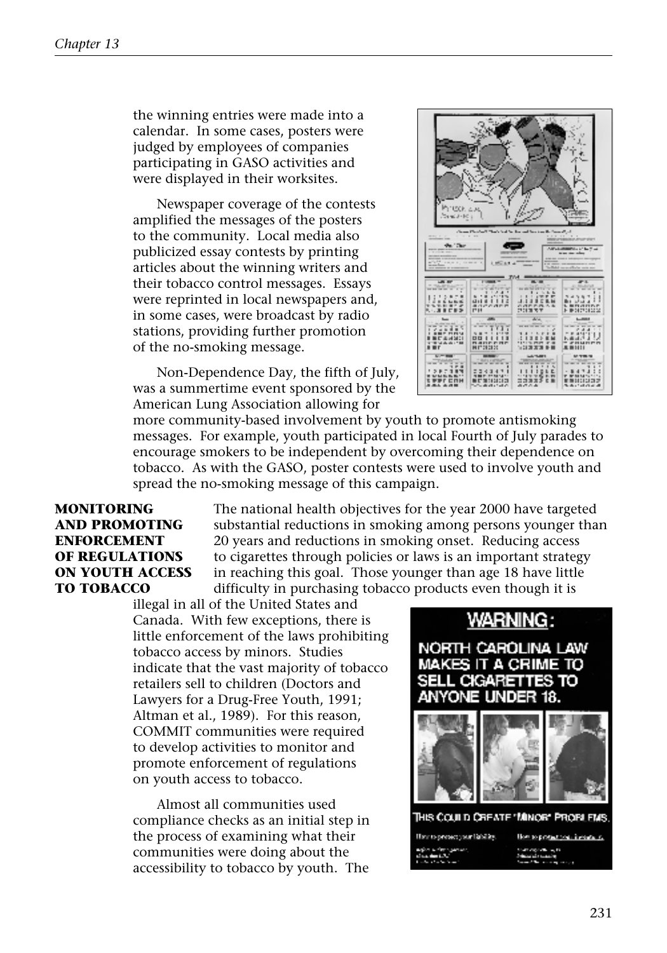the winning entries were made into a calendar. In some cases, posters were judged by employees of companies participating in GASO activities and were displayed in their worksites.

Newspaper coverage of the contests amplified the messages of the posters to the community. Local media also publicized essay contests by printing articles about the winning writers and their tobacco control messages. Essays were reprinted in local newspapers and, in some cases, were broadcast by radio stations, providing further promotion of the no-smoking message.

Non-Dependence Day, the fifth of July, was a summertime event sponsored by the American Lung Association allowing for



more community-based involvement by youth to promote antismoking messages. For example, youth participated in local Fourth of July parades to encourage smokers to be independent by overcoming their dependence on tobacco. As with the GASO, poster contests were used to involve youth and spread the no-smoking message of this campaign.

**MONITORING** The national health objectives for the year 2000 have targeted **AND PROMOTING** substantial reductions in smoking among persons younger than **ENFORCEMENT** 20 years and reductions in smoking onset. Reducing access **OF REGULATIONS** to cigarettes through policies or laws is an important strategy **ON YOUTH ACCESS** in reaching this goal. Those younger than age 18 have little **TO TOBACCO** difficulty in purchasing tobacco products even though it is

> illegal in all of the United States and Canada. With few exceptions, there is little enforcement of the laws prohibiting tobacco access by minors. Studies indicate that the vast majority of tobacco retailers sell to children (Doctors and Lawyers for a Drug-Free Youth, 1991; Altman et al., 1989). For this reason, COMMIT communities were required to develop activities to monitor and promote enforcement of regulations on youth access to tobacco.

Almost all communities used compliance checks as an initial step in the process of examining what their communities were doing about the accessibility to tobacco by youth. The

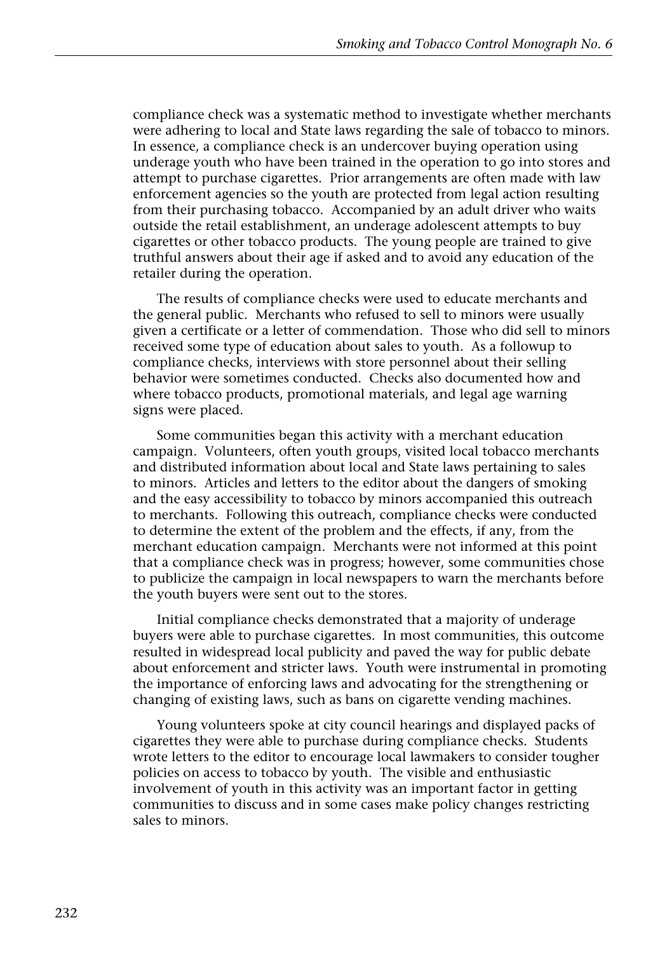compliance check was a systematic method to investigate whether merchants were adhering to local and State laws regarding the sale of tobacco to minors. In essence, a compliance check is an undercover buying operation using underage youth who have been trained in the operation to go into stores and attempt to purchase cigarettes. Prior arrangements are often made with law enforcement agencies so the youth are protected from legal action resulting from their purchasing tobacco. Accompanied by an adult driver who waits outside the retail establishment, an underage adolescent attempts to buy cigarettes or other tobacco products. The young people are trained to give truthful answers about their age if asked and to avoid any education of the retailer during the operation.

The results of compliance checks were used to educate merchants and the general public. Merchants who refused to sell to minors were usually given a certificate or a letter of commendation. Those who did sell to minors received some type of education about sales to youth. As a followup to compliance checks, interviews with store personnel about their selling behavior were sometimes conducted. Checks also documented how and where tobacco products, promotional materials, and legal age warning signs were placed.

Some communities began this activity with a merchant education campaign. Volunteers, often youth groups, visited local tobacco merchants and distributed information about local and State laws pertaining to sales to minors. Articles and letters to the editor about the dangers of smoking and the easy accessibility to tobacco by minors accompanied this outreach to merchants. Following this outreach, compliance checks were conducted to determine the extent of the problem and the effects, if any, from the merchant education campaign. Merchants were not informed at this point that a compliance check was in progress; however, some communities chose to publicize the campaign in local newspapers to warn the merchants before the youth buyers were sent out to the stores.

Initial compliance checks demonstrated that a majority of underage buyers were able to purchase cigarettes. In most communities, this outcome resulted in widespread local publicity and paved the way for public debate about enforcement and stricter laws. Youth were instrumental in promoting the importance of enforcing laws and advocating for the strengthening or changing of existing laws, such as bans on cigarette vending machines.

Young volunteers spoke at city council hearings and displayed packs of cigarettes they were able to purchase during compliance checks. Students wrote letters to the editor to encourage local lawmakers to consider tougher policies on access to tobacco by youth. The visible and enthusiastic involvement of youth in this activity was an important factor in getting communities to discuss and in some cases make policy changes restricting sales to minors.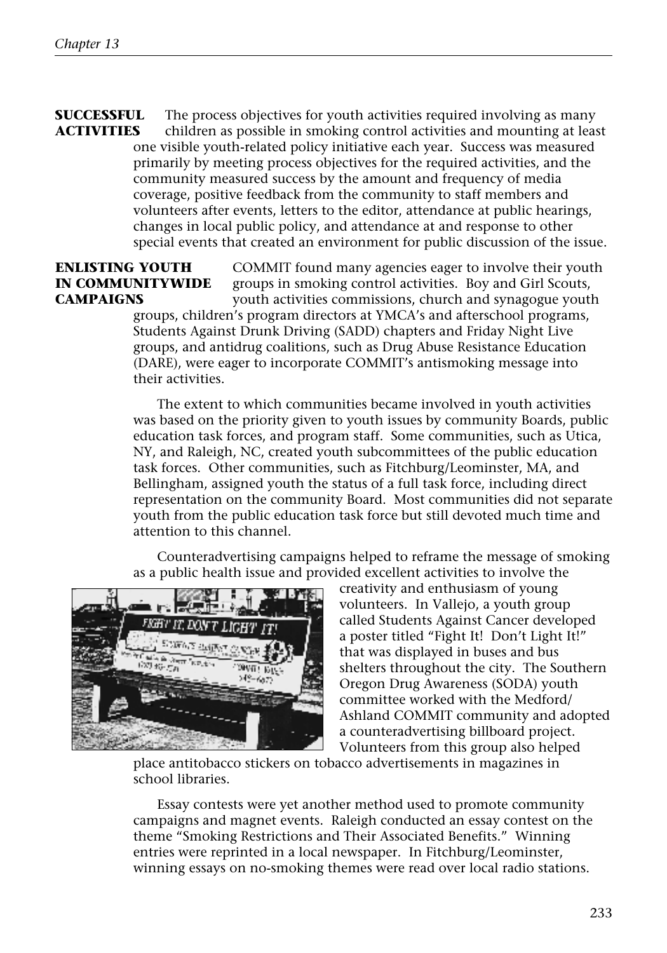**SUCCESSFUL** The process objectives for youth activities required involving as many **ACTIVITIES** children as possible in smoking control activities and mounting at least one visible youth-related policy initiative each year. Success was measured primarily by meeting process objectives for the required activities, and the community measured success by the amount and frequency of media coverage, positive feedback from the community to staff members and volunteers after events, letters to the editor, attendance at public hearings, changes in local public policy, and attendance at and response to other special events that created an environment for public discussion of the issue.

**ENLISTING YOUTH** COMMIT found many agencies eager to involve their youth **IN COMMUNITYWIDE** groups in smoking control activities. Boy and Girl Scouts, **CAMPAIGNS** youth activities commissions, church and synagogue youth groups, children's program directors at YMCA's and afterschool programs, Students Against Drunk Driving (SADD) chapters and Friday Night Live groups, and antidrug coalitions, such as Drug Abuse Resistance Education (DARE), were eager to incorporate COMMIT's antismoking message into their activities.

> The extent to which communities became involved in youth activities was based on the priority given to youth issues by community Boards, public education task forces, and program staff. Some communities, such as Utica, NY, and Raleigh, NC, created youth subcommittees of the public education task forces. Other communities, such as Fitchburg/Leominster, MA, and Bellingham, assigned youth the status of a full task force, including direct representation on the community Board. Most communities did not separate youth from the public education task force but still devoted much time and attention to this channel.

> Counteradvertising campaigns helped to reframe the message of smoking as a public health issue and provided excellent activities to involve the



creativity and enthusiasm of young volunteers. In Vallejo, a youth group called Students Against Cancer developed a poster titled "Fight It! Don't Light It!" that was displayed in buses and bus shelters throughout the city. The Southern Oregon Drug Awareness (SODA) youth committee worked with the Medford/ Ashland COMMIT community and adopted a counteradvertising billboard project. Volunteers from this group also helped

place antitobacco stickers on tobacco advertisements in magazines in school libraries.

Essay contests were yet another method used to promote community campaigns and magnet events. Raleigh conducted an essay contest on the theme "Smoking Restrictions and Their Associated Benefits." Winning entries were reprinted in a local newspaper. In Fitchburg/Leominster, winning essays on no-smoking themes were read over local radio stations.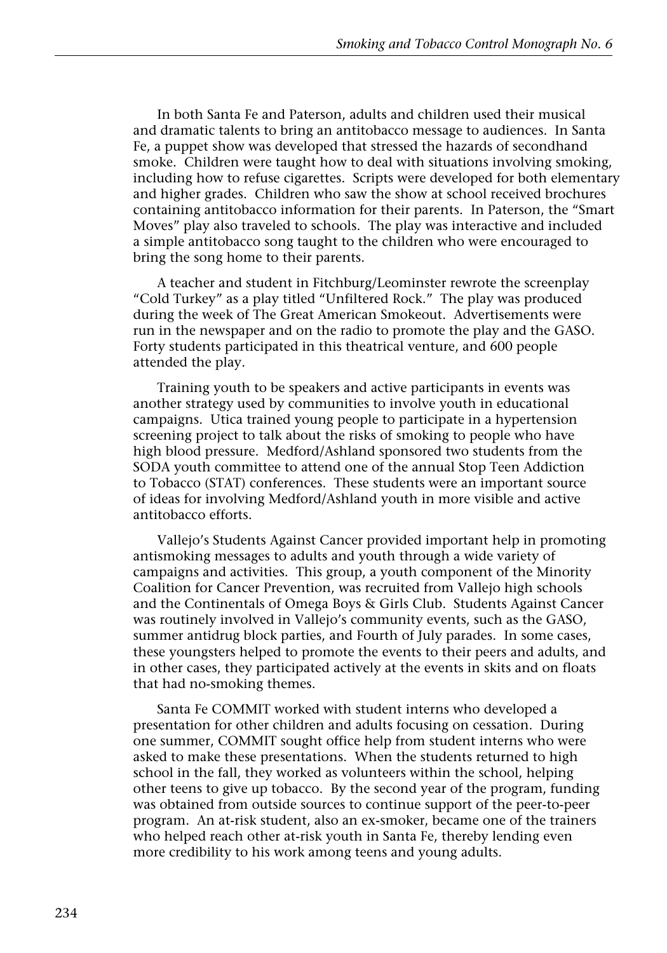In both Santa Fe and Paterson, adults and children used their musical and dramatic talents to bring an antitobacco message to audiences. In Santa Fe, a puppet show was developed that stressed the hazards of secondhand smoke. Children were taught how to deal with situations involving smoking, including how to refuse cigarettes. Scripts were developed for both elementary and higher grades. Children who saw the show at school received brochures containing antitobacco information for their parents. In Paterson, the "Smart Moves" play also traveled to schools. The play was interactive and included a simple antitobacco song taught to the children who were encouraged to bring the song home to their parents.

A teacher and student in Fitchburg/Leominster rewrote the screenplay "Cold Turkey" as a play titled "Unfiltered Rock." The play was produced during the week of The Great American Smokeout. Advertisements were run in the newspaper and on the radio to promote the play and the GASO. Forty students participated in this theatrical venture, and 600 people attended the play.

Training youth to be speakers and active participants in events was another strategy used by communities to involve youth in educational campaigns. Utica trained young people to participate in a hypertension screening project to talk about the risks of smoking to people who have high blood pressure. Medford/Ashland sponsored two students from the SODA youth committee to attend one of the annual Stop Teen Addiction to Tobacco (STAT) conferences. These students were an important source of ideas for involving Medford/Ashland youth in more visible and active antitobacco efforts.

Vallejo's Students Against Cancer provided important help in promoting antismoking messages to adults and youth through a wide variety of campaigns and activities. This group, a youth component of the Minority Coalition for Cancer Prevention, was recruited from Vallejo high schools and the Continentals of Omega Boys & Girls Club. Students Against Cancer was routinely involved in Vallejo's community events, such as the GASO, summer antidrug block parties, and Fourth of July parades. In some cases, these youngsters helped to promote the events to their peers and adults, and in other cases, they participated actively at the events in skits and on floats that had no-smoking themes.

Santa Fe COMMIT worked with student interns who developed a presentation for other children and adults focusing on cessation. During one summer, COMMIT sought office help from student interns who were asked to make these presentations. When the students returned to high school in the fall, they worked as volunteers within the school, helping other teens to give up tobacco. By the second year of the program, funding was obtained from outside sources to continue support of the peer-to-peer program. An at-risk student, also an ex-smoker, became one of the trainers who helped reach other at-risk youth in Santa Fe, thereby lending even more credibility to his work among teens and young adults.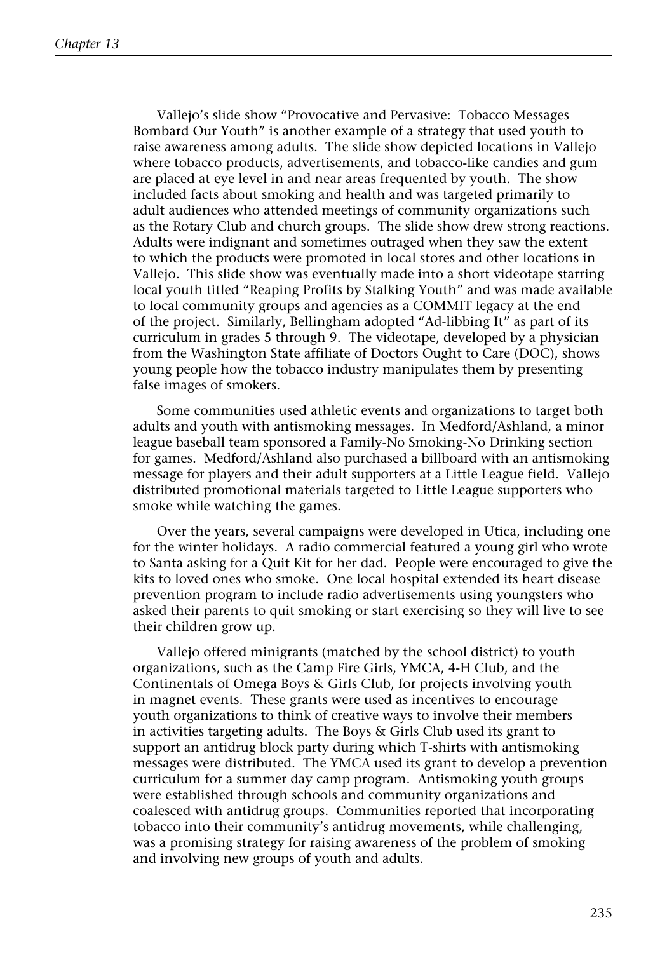Vallejo's slide show "Provocative and Pervasive: Tobacco Messages Bombard Our Youth" is another example of a strategy that used youth to raise awareness among adults. The slide show depicted locations in Vallejo where tobacco products, advertisements, and tobacco-like candies and gum are placed at eye level in and near areas frequented by youth. The show included facts about smoking and health and was targeted primarily to adult audiences who attended meetings of community organizations such as the Rotary Club and church groups. The slide show drew strong reactions. Adults were indignant and sometimes outraged when they saw the extent to which the products were promoted in local stores and other locations in Vallejo. This slide show was eventually made into a short videotape starring local youth titled "Reaping Profits by Stalking Youth" and was made available to local community groups and agencies as a COMMIT legacy at the end of the project. Similarly, Bellingham adopted "Ad-libbing It" as part of its curriculum in grades 5 through 9. The videotape, developed by a physician from the Washington State affiliate of Doctors Ought to Care (DOC), shows young people how the tobacco industry manipulates them by presenting false images of smokers.

Some communities used athletic events and organizations to target both adults and youth with antismoking messages. In Medford/Ashland, a minor league baseball team sponsored a Family-No Smoking-No Drinking section for games. Medford/Ashland also purchased a billboard with an antismoking message for players and their adult supporters at a Little League field. Vallejo distributed promotional materials targeted to Little League supporters who smoke while watching the games.

Over the years, several campaigns were developed in Utica, including one for the winter holidays. A radio commercial featured a young girl who wrote to Santa asking for a Quit Kit for her dad. People were encouraged to give the kits to loved ones who smoke. One local hospital extended its heart disease prevention program to include radio advertisements using youngsters who asked their parents to quit smoking or start exercising so they will live to see their children grow up.

Vallejo offered minigrants (matched by the school district) to youth organizations, such as the Camp Fire Girls, YMCA, 4-H Club, and the Continentals of Omega Boys & Girls Club, for projects involving youth in magnet events. These grants were used as incentives to encourage youth organizations to think of creative ways to involve their members in activities targeting adults. The Boys & Girls Club used its grant to support an antidrug block party during which T-shirts with antismoking messages were distributed. The YMCA used its grant to develop a prevention curriculum for a summer day camp program. Antismoking youth groups were established through schools and community organizations and coalesced with antidrug groups. Communities reported that incorporating tobacco into their community's antidrug movements, while challenging, was a promising strategy for raising awareness of the problem of smoking and involving new groups of youth and adults.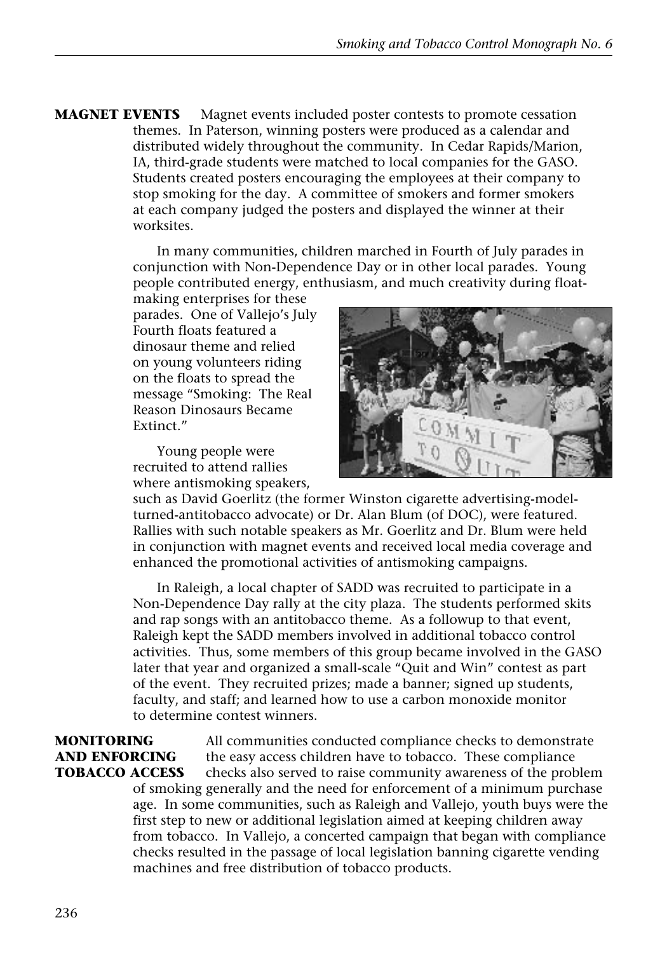**MAGNET EVENTS** Magnet events included poster contests to promote cessation themes. In Paterson, winning posters were produced as a calendar and distributed widely throughout the community. In Cedar Rapids/Marion, IA, third-grade students were matched to local companies for the GASO. Students created posters encouraging the employees at their company to stop smoking for the day. A committee of smokers and former smokers at each company judged the posters and displayed the winner at their worksites.

> In many communities, children marched in Fourth of July parades in conjunction with Non-Dependence Day or in other local parades. Young people contributed energy, enthusiasm, and much creativity during float-

making enterprises for these parades. One of Vallejo's July Fourth floats featured a dinosaur theme and relied on young volunteers riding on the floats to spread the message "Smoking: The Real Reason Dinosaurs Became Extinct."

Young people were recruited to attend rallies where antismoking speakers,



such as David Goerlitz (the former Winston cigarette advertising-modelturned-antitobacco advocate) or Dr. Alan Blum (of DOC), were featured. Rallies with such notable speakers as Mr. Goerlitz and Dr. Blum were held in conjunction with magnet events and received local media coverage and enhanced the promotional activities of antismoking campaigns.

In Raleigh, a local chapter of SADD was recruited to participate in a Non-Dependence Day rally at the city plaza. The students performed skits and rap songs with an antitobacco theme. As a followup to that event, Raleigh kept the SADD members involved in additional tobacco control activities. Thus, some members of this group became involved in the GASO later that year and organized a small-scale "Quit and Win" contest as part of the event. They recruited prizes; made a banner; signed up students, faculty, and staff; and learned how to use a carbon monoxide monitor to determine contest winners.

**MONITORING** All communities conducted compliance checks to demonstrate **AND ENFORCING** the easy access children have to tobacco. These compliance **TOBACCO ACCESS** checks also served to raise community awareness of the problem of smoking generally and the need for enforcement of a minimum purchase age. In some communities, such as Raleigh and Vallejo, youth buys were the first step to new or additional legislation aimed at keeping children away from tobacco. In Vallejo, a concerted campaign that began with compliance checks resulted in the passage of local legislation banning cigarette vending machines and free distribution of tobacco products.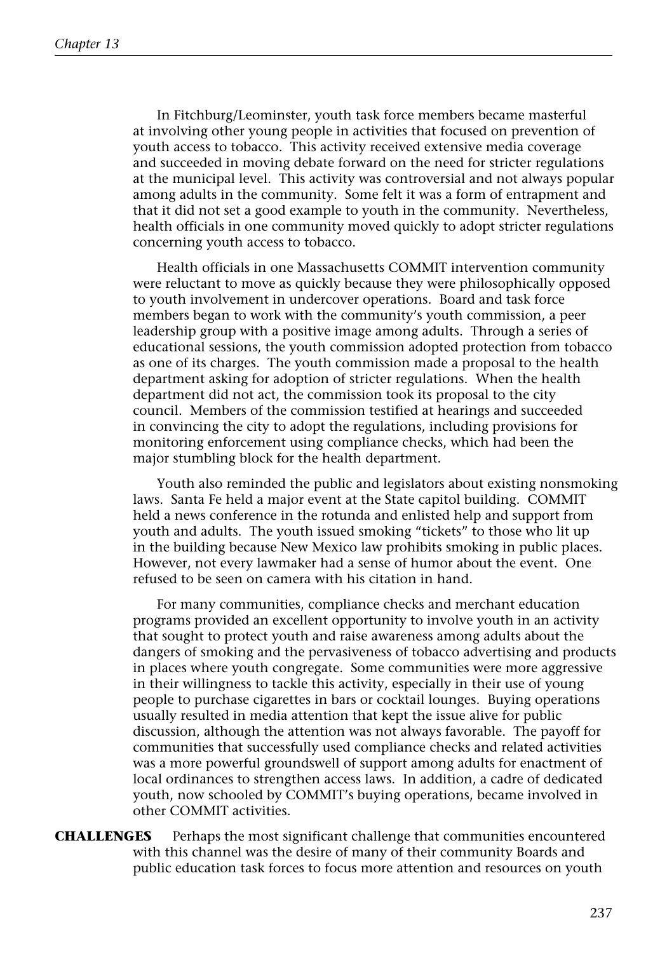In Fitchburg/Leominster, youth task force members became masterful at involving other young people in activities that focused on prevention of youth access to tobacco. This activity received extensive media coverage and succeeded in moving debate forward on the need for stricter regulations at the municipal level. This activity was controversial and not always popular among adults in the community. Some felt it was a form of entrapment and that it did not set a good example to youth in the community. Nevertheless, health officials in one community moved quickly to adopt stricter regulations concerning youth access to tobacco.

Health officials in one Massachusetts COMMIT intervention community were reluctant to move as quickly because they were philosophically opposed to youth involvement in undercover operations. Board and task force members began to work with the community's youth commission, a peer leadership group with a positive image among adults. Through a series of educational sessions, the youth commission adopted protection from tobacco as one of its charges. The youth commission made a proposal to the health department asking for adoption of stricter regulations. When the health department did not act, the commission took its proposal to the city council. Members of the commission testified at hearings and succeeded in convincing the city to adopt the regulations, including provisions for monitoring enforcement using compliance checks, which had been the major stumbling block for the health department.

Youth also reminded the public and legislators about existing nonsmoking laws. Santa Fe held a major event at the State capitol building. COMMIT held a news conference in the rotunda and enlisted help and support from youth and adults. The youth issued smoking "tickets" to those who lit up in the building because New Mexico law prohibits smoking in public places. However, not every lawmaker had a sense of humor about the event. One refused to be seen on camera with his citation in hand.

For many communities, compliance checks and merchant education programs provided an excellent opportunity to involve youth in an activity that sought to protect youth and raise awareness among adults about the dangers of smoking and the pervasiveness of tobacco advertising and products in places where youth congregate. Some communities were more aggressive in their willingness to tackle this activity, especially in their use of young people to purchase cigarettes in bars or cocktail lounges. Buying operations usually resulted in media attention that kept the issue alive for public discussion, although the attention was not always favorable. The payoff for communities that successfully used compliance checks and related activities was a more powerful groundswell of support among adults for enactment of local ordinances to strengthen access laws. In addition, a cadre of dedicated youth, now schooled by COMMIT's buying operations, became involved in other COMMIT activities.

**CHALLENGES** Perhaps the most significant challenge that communities encountered with this channel was the desire of many of their community Boards and public education task forces to focus more attention and resources on youth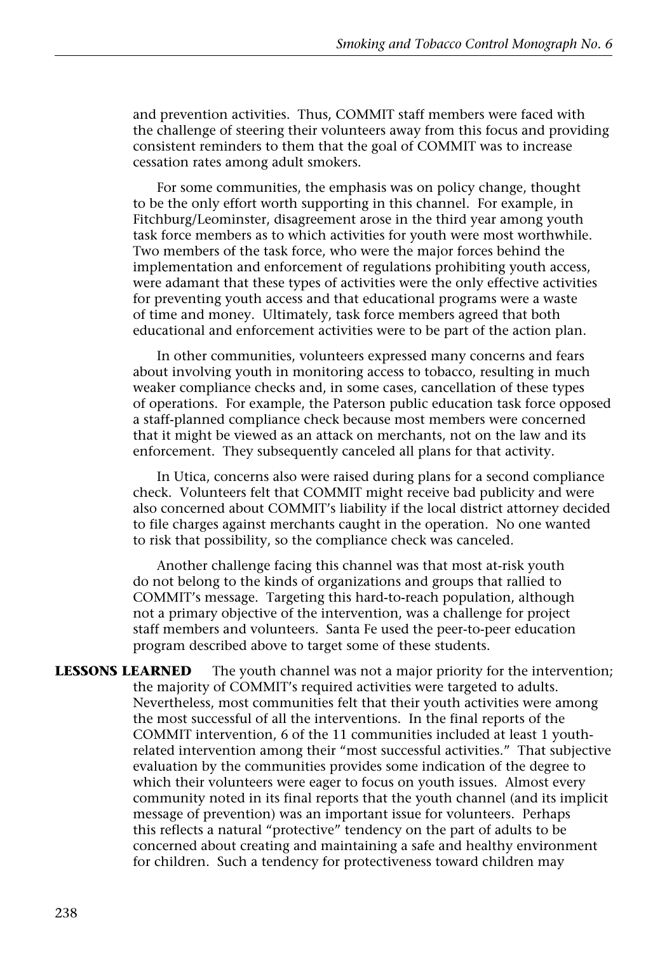and prevention activities. Thus, COMMIT staff members were faced with the challenge of steering their volunteers away from this focus and providing consistent reminders to them that the goal of COMMIT was to increase cessation rates among adult smokers.

For some communities, the emphasis was on policy change, thought to be the only effort worth supporting in this channel. For example, in Fitchburg/Leominster, disagreement arose in the third year among youth task force members as to which activities for youth were most worthwhile. Two members of the task force, who were the major forces behind the implementation and enforcement of regulations prohibiting youth access, were adamant that these types of activities were the only effective activities for preventing youth access and that educational programs were a waste of time and money. Ultimately, task force members agreed that both educational and enforcement activities were to be part of the action plan.

In other communities, volunteers expressed many concerns and fears about involving youth in monitoring access to tobacco, resulting in much weaker compliance checks and, in some cases, cancellation of these types of operations. For example, the Paterson public education task force opposed a staff-planned compliance check because most members were concerned that it might be viewed as an attack on merchants, not on the law and its enforcement. They subsequently canceled all plans for that activity.

In Utica, concerns also were raised during plans for a second compliance check. Volunteers felt that COMMIT might receive bad publicity and were also concerned about COMMIT's liability if the local district attorney decided to file charges against merchants caught in the operation. No one wanted to risk that possibility, so the compliance check was canceled.

Another challenge facing this channel was that most at-risk youth do not belong to the kinds of organizations and groups that rallied to COMMIT's message. Targeting this hard-to-reach population, although not a primary objective of the intervention, was a challenge for project staff members and volunteers. Santa Fe used the peer-to-peer education program described above to target some of these students.

**LESSONS LEARNED** The youth channel was not a major priority for the intervention; the majority of COMMIT's required activities were targeted to adults. Nevertheless, most communities felt that their youth activities were among the most successful of all the interventions. In the final reports of the COMMIT intervention, 6 of the 11 communities included at least 1 youthrelated intervention among their "most successful activities." That subjective evaluation by the communities provides some indication of the degree to which their volunteers were eager to focus on youth issues. Almost every community noted in its final reports that the youth channel (and its implicit message of prevention) was an important issue for volunteers. Perhaps this reflects a natural "protective" tendency on the part of adults to be concerned about creating and maintaining a safe and healthy environment for children. Such a tendency for protectiveness toward children may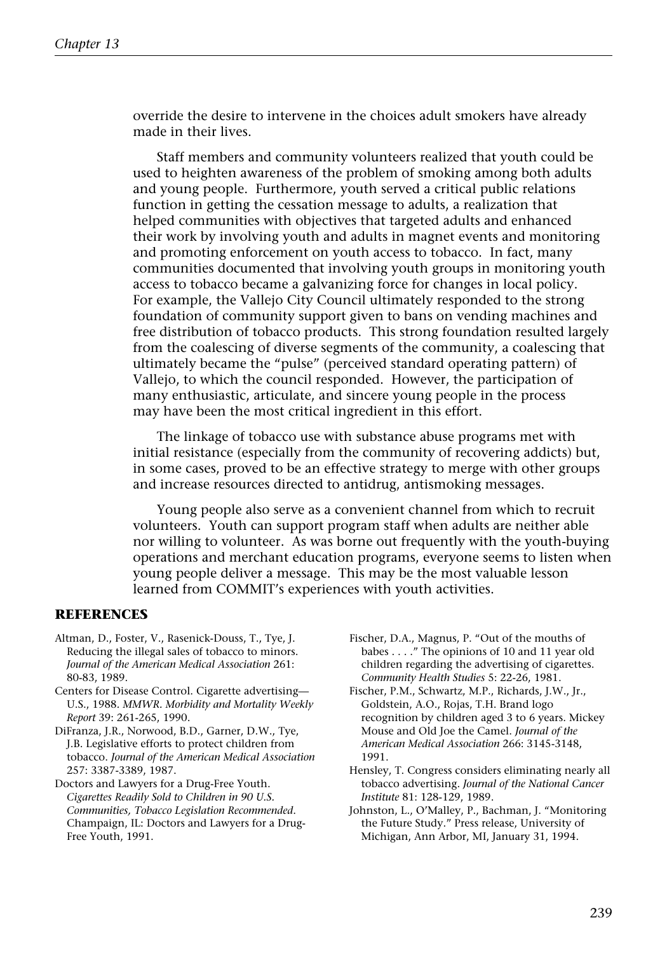override the desire to intervene in the choices adult smokers have already made in their lives.

Staff members and community volunteers realized that youth could be used to heighten awareness of the problem of smoking among both adults and young people. Furthermore, youth served a critical public relations function in getting the cessation message to adults, a realization that helped communities with objectives that targeted adults and enhanced their work by involving youth and adults in magnet events and monitoring and promoting enforcement on youth access to tobacco. In fact, many communities documented that involving youth groups in monitoring youth access to tobacco became a galvanizing force for changes in local policy. For example, the Vallejo City Council ultimately responded to the strong foundation of community support given to bans on vending machines and free distribution of tobacco products. This strong foundation resulted largely from the coalescing of diverse segments of the community, a coalescing that ultimately became the "pulse" (perceived standard operating pattern) of Vallejo, to which the council responded. However, the participation of many enthusiastic, articulate, and sincere young people in the process may have been the most critical ingredient in this effort.

The linkage of tobacco use with substance abuse programs met with initial resistance (especially from the community of recovering addicts) but, in some cases, proved to be an effective strategy to merge with other groups and increase resources directed to antidrug, antismoking messages.

Young people also serve as a convenient channel from which to recruit volunteers. Youth can support program staff when adults are neither able nor willing to volunteer. As was borne out frequently with the youth-buying operations and merchant education programs, everyone seems to listen when young people deliver a message. This may be the most valuable lesson learned from COMMIT's experiences with youth activities.

### **REFERENCES**

- Altman, D., Foster, V., Rasenick-Douss, T., Tye, J. Reducing the illegal sales of tobacco to minors. *Journal of the American Medical Association* 261: 80-83, 1989.
- Centers for Disease Control. Cigarette advertising— U.S., 1988*. MMWR. Morbidity and Mortality Weekly Report* 39: 261-265, 1990.
- DiFranza, J.R., Norwood, B.D., Garner, D.W., Tye, J.B. Legislative efforts to protect children from tobacco. *Journal of the American Medical Association* 257: 3387-3389, 1987.
- Doctors and Lawyers for a Drug-Free Youth. *Cigarettes Readily Sold to Children in 90 U.S. Communities, Tobacco Legislation Recommended*. Champaign, IL: Doctors and Lawyers for a Drug-Free Youth, 1991.
- Fischer, D.A., Magnus, P. "Out of the mouths of babes . . . ." The opinions of 10 and 11 year old children regarding the advertising of cigarettes. *Community Health Studies* 5: 22-26, 1981.
- Fischer, P.M., Schwartz, M.P., Richards, J.W., Jr., Goldstein, A.O., Rojas, T.H. Brand logo recognition by children aged 3 to 6 years. Mickey Mouse and Old Joe the Camel. *Journal of the American Medical Association* 266: 3145-3148, 1991.
- Hensley, T. Congress considers eliminating nearly all tobacco advertising. *Journal of the National Cancer Institute* 81: 128-129, 1989.
- Johnston, L., O'Malley, P., Bachman, J. "Monitoring the Future Study." Press release, University of Michigan, Ann Arbor, MI, January 31, 1994.